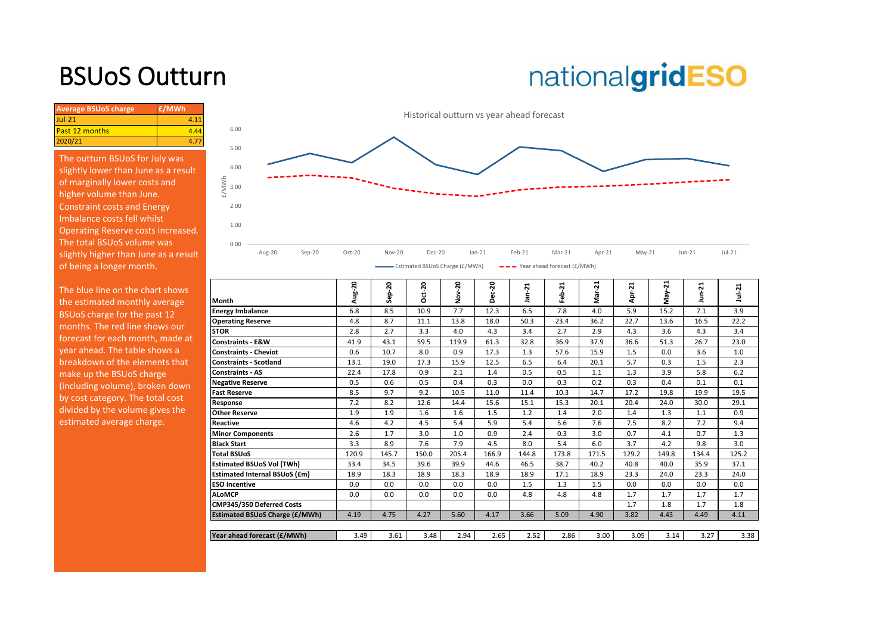## BSUoS Outturn

# nationalgridESO

| <b>Average BSUoS charge</b> | £/MWh |
|-----------------------------|-------|
| $JuL-21$                    |       |
| <b>Past 12 months</b>       |       |
| 2020/21                     |       |

The outturn BSUoS for July was slightly lower than June as a result of marginally lower costs and higher volume than June. Constraint costs and Energy Imbalance costs fell whilst Operating Reserve costs increased. The total BSUoS volume was slightly higher than June as a result of being a longer month.



| The blue line on the chart shows<br>the estimated monthly average | Month                                 | Aug-20 | នុ<br>읎<br>Ű. | ន<br>ť<br>Ó | ຸລ<br>õ<br>ż | <b>Dec-20</b> | $an-21$ | 21<br>흢 | ನ<br>ਨੋ<br>ż | ⊣<br>بہ<br>௳<br>ď | ដ<br>Š<br>S | ನ     | Jul-21 |
|-------------------------------------------------------------------|---------------------------------------|--------|---------------|-------------|--------------|---------------|---------|---------|--------------|-------------------|-------------|-------|--------|
| BSUoS charge for the past 12                                      | <b>Energy Imbalance</b>               | 6.8    | 8.5           | 10.9        | 7.7          | 12.3          | 6.5     | 7.8     | 4.0          | 5.9               | 15.2        | 7.1   | 3.9    |
|                                                                   | <b>Operating Reserve</b>              | 4.8    | 8.7           | 11.1        | 13.8         | 18.0          | 50.3    | 23.4    | 36.2         | 22.7              | 13.6        | 16.5  | 22.2   |
| months. The red line shows our                                    | <b>STOR</b>                           | 2.8    | 2.7           | 3.3         | 4.0          | 4.3           | 3.4     | 2.7     | 2.9          | 4.3               | 3.6         | 4.3   | 3.4    |
| forecast for each month, made at                                  | <b>Constraints - E&amp;W</b>          | 41.9   | 43.1          | 59.5        | 119.9        | 61.3          | 32.8    | 36.9    | 37.9         | 36.6              | 51.3        | 26.7  | 23.0   |
| year ahead. The table shows a                                     | <b>Constraints - Cheviot</b>          | 0.6    | 10.7          | 8.0         | 0.9          | 17.3          | 1.3     | 57.6    | 15.9         | 1.5               | 0.0         | 3.6   | 1.0    |
| breakdown of the elements that                                    | <b>Constraints - Scotland</b>         | 13.1   | 19.0          | 17.3        | 15.9         | 12.5          | 6.5     | 6.4     | 20.1         | 5.7               | 0.3         | 1.5   | 2.3    |
| make up the BSUoS charge                                          | <b>Constraints - AS</b>               | 22.4   | 17.8          | 0.9         | 2.1          | 1.4           | 0.5     | 0.5     | 1.1          | 1.3               | 3.9         | 5.8   | 6.2    |
| (including volume), broken down                                   | <b>Negative Reserve</b>               | 0.5    | 0.6           | 0.5         | 0.4          | 0.3           | 0.0     | 0.3     | 0.2          | 0.3               | 0.4         | 0.1   | 0.1    |
| by cost category. The total cost                                  | <b>Fast Reserve</b>                   | 8.5    | 9.7           | 9.2         | 10.5         | 11.0          | 11.4    | 10.3    | 14.7         | 17.2              | 19.8        | 19.9  | 19.5   |
|                                                                   | Response                              | 7.2    | 8.2           | 12.6        | 14.4         | 15.6          | 15.1    | 15.3    | 20.1         | 20.4              | 24.0        | 30.0  | 29.1   |
| divided by the volume gives the                                   | <b>Other Reserve</b>                  | 1.9    | 1.9           | 1.6         | 1.6          | 1.5           | 1.2     | 1.4     | 2.0          | 1.4               | 1.3         | 1.1   | 0.9    |
| estimated average charge.                                         | Reactive                              | 4.6    | 4.2           | 4.5         | 5.4          | 5.9           | 5.4     | 5.6     | 7.6          | 7.5               | 8.2         | 7.2   | 9.4    |
|                                                                   | <b>Minor Components</b>               | 2.6    | 1.7           | 3.0         | 1.0          | 0.9           | 2.4     | 0.3     | 3.0          | 0.7               | 4.1         | 0.7   | 1.3    |
|                                                                   | <b>Black Start</b>                    | 3.3    | 8.9           | 7.6         | 7.9          | 4.5           | 8.0     | 5.4     | 6.0          | 3.7               | 4.2         | 9.8   | 3.0    |
|                                                                   | <b>Total BSUoS</b>                    | 120.9  | 145.7         | 150.0       | 205.4        | 166.9         | 144.8   | 173.8   | 171.5        | 129.2             | 149.8       | 134.4 | 125.2  |
|                                                                   | <b>Estimated BSUoS Vol (TWh)</b>      | 33.4   | 34.5          | 39.6        | 39.9         | 44.6          | 46.5    | 38.7    | 40.2         | 40.8              | 40.0        | 35.9  | 37.1   |
|                                                                   | <b>Estimated Internal BSUoS (£m)</b>  | 18.9   | 18.3          | 18.9        | 18.3         | 18.9          | 18.9    | 17.1    | 18.9         | 23.3              | 24.0        | 23.3  | 24.0   |
|                                                                   | <b>ESO Incentive</b>                  | 0.0    | 0.0           | 0.0         | 0.0          | 0.0           | 1.5     | 1.3     | 1.5          | 0.0               | 0.0         | 0.0   | 0.0    |
|                                                                   | <b>ALoMCP</b>                         | 0.0    | 0.0           | 0.0         | 0.0          | 0.0           | 4.8     | 4.8     | 4.8          | 1.7               | 1.7         | 1.7   | 1.7    |
|                                                                   | CMP345/350 Deferred Costs             |        |               |             |              |               |         |         |              | 1.7               | 1.8         | 1.7   | 1.8    |
|                                                                   | <b>Estimated BSUoS Charge (£/MWh)</b> | 4.19   | 4.75          | 4.27        | 5.60         | 4.17          | 3.66    | 5.09    | 4.90         | 3.82              | 4.43        | 4.49  | 4.11   |
|                                                                   |                                       |        |               |             |              |               |         |         |              |                   |             |       |        |
|                                                                   | Year ahead forecast (£/MWh)           | 3.49   | 3.61          | 3.48        | 2.94         | 2.65          | 2.52    | 2.86    | 3.00         | 3.05              | 3.14        | 3.27  | 3.38   |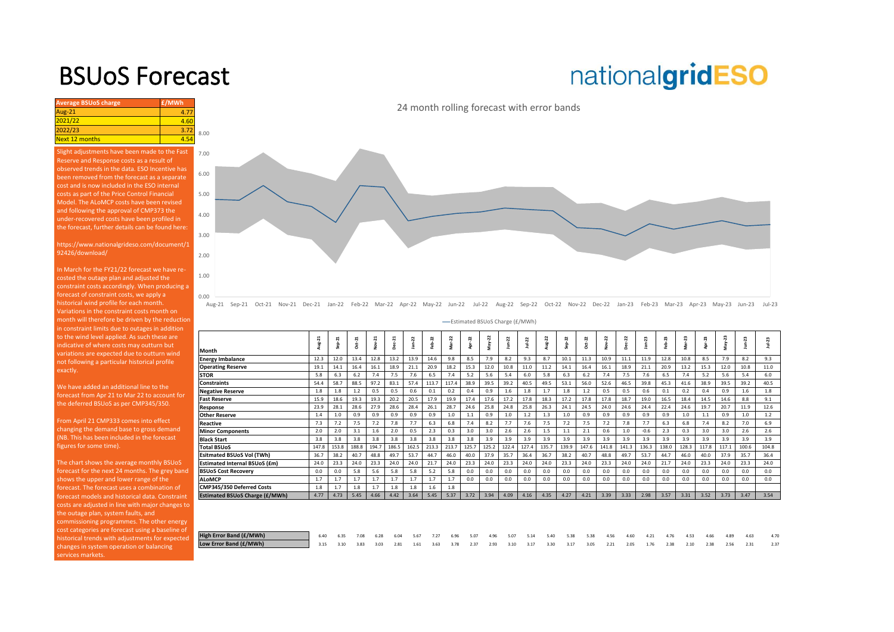### BSUoS Forecast

## nationalgridESO

| <b>Average BSUoS charge</b> | £/MWh |      |
|-----------------------------|-------|------|
| Aug-21                      | 4.77  |      |
| 2021/22                     | 4.60  |      |
| 2022/23                     | 3.72  | 8.00 |
| <b>Next 12 months</b>       | $-50$ |      |

Slight adjustments have been made to the Fast Reserve and Response costs as a result of observed trends in the data. ESO Incentive has been removed from the forecast as a separate cost and is now included in the ESO internal costs as part of the Price Control Financial Model. The ALoMCP costs have been revised and following the approval of CMP373 the under-recovered costs have been profiled in the forecast, further details can be found here:

https://www.nationalgrideso.com/document/1 92426/download/

In March for the FY21/22 forecast we have recosted the outage plan and adjusted the constraint costs accordingly. When producing a forecast of constraint costs, we apply a historical wind profile for each month. Variations in the constraint costs month on nonth will therefore be driven by the reductior in constraint limits due to outages in addition to the wind level applied. As such these are ndicative of where costs may outturn but variations are expected due to outturn wind not following a particular historical profile exactly.

We have added an additional line to the forecast from Apr 21 to Mar 22 to account for the deferred BSUoS as per CMP345/350.

From April 21 CMP333 comes into effect changing the demand base to gross demand (NB. This has been included in the forecast figures for some time).

The chart shows the average monthly BSUoS forecast for the next 24 months. The grey band shows the upper and lower range of the forecast. The forecast uses a combination of forecast models and historical data. Constraint costs are adjusted in line with major changes to the outage plan, system faults, and commissioning programmes. The other energy cost categories are forecast using a baseline of historical trends with adjustments for expected changes in system operation or balancing ervices markets.

24 month rolling forecast with error bands



Aug-21 Sep-21 Oct-21 Nov-21 Dec-21 Jan-22 Feb-22 Mar-22 Apr-22 May-22 Jun-22 Jul-22 Aug-22 Sep-22 Oct-22 Nov-22 Dec-22 Jan-23 Feb-23 Mar-23 Apr-23 May-23 Jun-23 Jul-23

Estimated BSUoS Charge (£/MWh)

|                                       | ដ<br>Ĵ | Sep <sub>21</sub> | $Oct-21$ | Nov-21 | Dec-21 | R<br>Ė | $eb-22$ | Mar-22 | Apr-22 | May-22 | <b>Z</b><br>ģ | $Ju+22$ | 22<br>Aug- | Sep-22 | Oct-22 | Nov-22 | Dec-22 | 23<br>jan- | eb-23 | 23<br>ģ | Apr-23 | May-23 | ౘ<br>Ė | $10+23$ |
|---------------------------------------|--------|-------------------|----------|--------|--------|--------|---------|--------|--------|--------|---------------|---------|------------|--------|--------|--------|--------|------------|-------|---------|--------|--------|--------|---------|
| Month                                 |        |                   |          |        |        |        |         |        |        |        |               |         |            |        |        |        |        |            |       |         |        |        |        |         |
| <b>Energy Imbalance</b>               | 12.3   | 12.0              | 13.4     | 12.8   | 13.2   | 13.9   | 14.6    | 9.8    | 8.5    | 7.9    | 8.2           | 9.3     | 8.7        | 10.1   | 11.3   | 10.9   | 11.1   | 11.9       | 12.8  | 10.8    | 8.5    | 7.9    | 8.2    | 9.3     |
| <b>Operating Reserve</b>              | 19.1   | 14.1              | 16.4     | 16.1   | 18.9   | 21.1   | 20.9    | 18.2   | 15.3   | 12.0   | 10.8          | 11.0    | 11.2       | 14.1   | 16.4   | 16.1   | 18.9   | 21.1       | 20.9  | 13.2    | 15.3   | 12.0   | 10.8   | 11.0    |
| <b>STOR</b>                           | 5.8    | 6.3               | 6.2      | 7.4    | 7.5    | 7.6    | 6.5     | 7.4    | 5.2    | 5.6    | 5.4           | 6.0     | 5.8        | 6.3    | 6.2    | 7.4    | 7.5    | 7.6        | 6.5   | 7.4     | 5.2    | 5.6    | 5.4    | 6.0     |
| <b>Constraints</b>                    | 54.4   | 58.7              | 88.5     | 97.2   | 83.1   | 57.4   | 113.7   | 117.4  | 38.9   | 39.5   | 39.2          | 40.5    | 49.5       | 53.1   | 56.0   | 52.6   | 46.5   | 39.8       | 45.3  | 41.6    | 38.9   | 39.5   | 39.2   | 40.5    |
| <b>Negative Reserve</b>               | 1.8    | 1.8               | 1.2      | 0.5    | 0.5    | 0.6    | 0.1     | 0.2    | 0.4    | 0.9    | 1.6           | 1.8     | 1.7        | 1.8    | 1.2    | 0.5    | 0.5    | 0.6        | 0.1   | 0.2     | 0.4    | 0.9    | 1.6    | 1.8     |
| <b>Fast Reserve</b>                   | 15.9   | 18.6              | 19.3     | 19.3   | 20.2   | 20.5   | 17.9    | 19.9   | 17.4   | 17.6   | 17.2          | 17.8    | 18.3       | 17.2   | 17.8   | 17.8   | 18.7   | 19.0       | 16.5  | 18.4    | 14.5   | 14.6   | 8.8    | 9.1     |
| Response                              | 23.9   | 28.1              | 28.6     | 27.9   | 28.6   | 28.4   | 26.1    | 28.7   | 24.6   | 25.8   | 24.8          | 25.8    | 26.3       | 24.1   | 24.5   | 24.0   | 24.6   | 24.4       | 22.4  | 24.6    | 19.7   | 20.7   | 11.9   | 12.6    |
| <b>Other Reserve</b>                  | 1.4    | 1.0               | 0.9      | 0.9    | 0.9    | 0.9    | 0.9     | 1.0    | $1.1$  | 0.9    | 1.0           | 1.2     | 1.3        | 1.0    | 0.9    | 0.9    | 0.9    | 0.9        | 0.9   | 1.0     | 1.1    | 0.9    | 1.0    | 1.2     |
| <b>Reactive</b>                       | 7.3    | 7.2               | 7.5      | 7.2    | 7.8    | 7.7    | 6.3     | 6.8    | 7.4    | 8.2    | 7.7           | 7.6     | 7.5        | 7.2    | 7.5    | 7.2    | 7.8    | 7.7        | 6.3   | 6.8     | 7.4    | 8.2    | 7.0    | 6.9     |
| <b>Minor Components</b>               | 2.0    | 2.0               | 3.1      | 1.6    | 2.0    | 0.5    | 2.3     | 0.3    | 3.0    | 3.0    | 2.6           | 2.6     | 1.5        | 1.1    | 2.1    | 0.6    | 1.0    | $-0.6$     | 2.3   | 0.3     | 3.0    | 3.0    | 2.6    | 2.6     |
| <b>Black Start</b>                    | 3.8    | 3.8               | 3.8      | 3.8    | 3.8    | 3.8    | 3.8     | 3.8    | 3.8    | 3.9    | 3.9           | 3.9     | 3.9        | 3.9    | 3.9    | 3.9    | 3.9    | 3.9        | 3.9   | 3.9     | 3.9    | 3.9    | 3.9    | 3.9     |
| <b>Total BSUoS</b>                    | 147.8  | 153.8             | 188.8    | 194.7  | 186.5  | 162.5  | 213.3   | 213.7  | 125.7  | 125.2  | 122.4         | 127.4   | 135.7      | 139.9  | 147.6  | 141.8  | 141.3  | 136.3      | 138.0 | 128.3   | 117.8  | 117.1  | 100.6  | 104.8   |
| <b>Esitmated BSUoS Vol (TWh)</b>      | 36.7   | 38.2              | 40.7     | 48.8   | 49.7   | 53.7   | 44.7    | 46.0   | 40.0   | 37.9   | 35.7          | 36.4    | 36.7       | 38.2   | 40.7   | 48.8   | 49.7   | 53.7       | 44.7  | 46.0    | 40.0   | 37.9   | 35.7   | 36.4    |
| <b>Estimated Internal BSUoS (£m)</b>  | 24.0   | 23.3              | 24.0     | 23.3   | 24.0   | 24.0   | 21.7    | 24.0   | 23.3   | 24.0   | 23.3          | 24.0    | 24.0       | 23.3   | 24.0   | 23.3   | 24.0   | 24.0       | 21.7  | 24.0    | 23.3   | 24.0   | 23.3   | 24.0    |
| <b>BSUoS Cost Recoverv</b>            | 0.0    | 0.0               | 5.8      | 5.6    | 5.8    | 5.8    | 5.2     | 5.8    | 0.0    | 0.0    | 0.0           | 0.0     | 0.0        | 0.0    | 0.0    | 0.0    | 0.0    | 0.0        | 0.0   | 0.0     | 0.0    | 0.0    | 0.0    | 0.0     |
| <b>ALoMCP</b>                         | 1.7    | 1.7               | 1.7      | 1.7    | 1.7    | 1.7    | 1.7     | 1.7    | 0.0    | 0.0    | 0.0           | 0.0     | 0.0        | 0.0    | 0.0    | 0.0    | 0.0    | 0.0        | 0.0   | 0.0     | 0.0    | 0.0    | 0.0    | 0.0     |
| CMP345/350 Deferred Costs             | 1.8    | 1.7               | 1.8      | 1.7    | 1.8    | 1.8    | 1.6     | 1.8    |        |        |               |         |            |        |        |        |        |            |       |         |        |        |        |         |
| <b>Estimated BSUoS Charge (£/MWh)</b> | 4.77   | 4.73              | 5.45     | 4.66   | 4.42   | 3.64   | 5.45    | 5.37   | 3.72   | 3.94   | 4.09          | 4.16    | 4.35       | 4.27   | 4.21   | 3.39   | 3.33   | 2.98       | 3.57  | 3.31    | 3.52   | 3.73   | 3.47   | 3.54    |
|                                       |        |                   |          |        |        |        |         |        |        |        |               |         |            |        |        |        |        |            |       |         |        |        |        |         |
| <b>High Error Band (£/MWh)</b>        | 6.40   | 6.35              | 7.08     | 6.28   | 6.04   | 5.67   | 7.27    | 6.96   | 5.07   | 4.96   | 5.07          | 5.14    | 5.40       | 5.38   | 5.38   | 4.56   | 4.60   | 4.21       | 4.76  | 4.53    | 4.66   | 4.89   | 4.63   | 4.70    |
| Low Error Band (£/MWh)                | 3.15   | 3.10              | 3.83     | 3.03   | 2.81   | 1.61   | 3.63    | 3.78   | 2.37   | 2.93   | 3.10          | 3.17    | 3.30       | 3.17   | 3.05   | 2.21   | 2.05   | 1.76       | 2.38  | 2.10    | 2.38   | 2.56   | 2.31   | 2.37    |